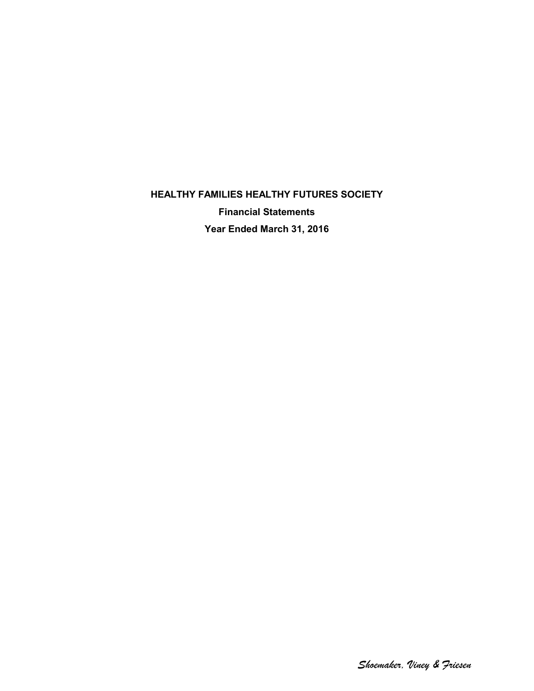**HEALTHY FAMILIES HEALTHY FUTURES SOCIETY Financial Statements Year Ended March 31, 2016**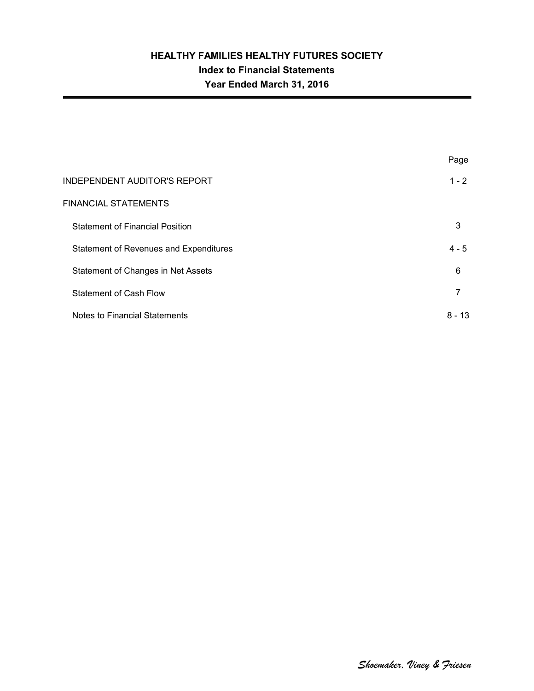## **HEALTHY FAMILIES HEALTHY FUTURES SOCIETY Index to Financial Statements Year Ended March 31, 2016**

|                                        | Page     |
|----------------------------------------|----------|
| <b>INDEPENDENT AUDITOR'S REPORT</b>    | $1 - 2$  |
| FINANCIAL STATEMENTS                   |          |
| <b>Statement of Financial Position</b> | 3        |
| Statement of Revenues and Expenditures | $4 - 5$  |
| Statement of Changes in Net Assets     | 6        |
| Statement of Cash Flow                 | 7        |
| Notes to Financial Statements          | $8 - 13$ |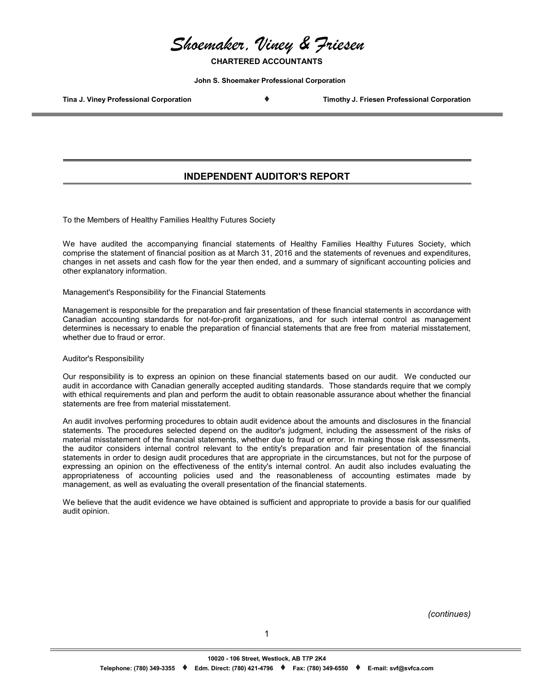*Shoemaker, Viney & Friesen*

**CHARTERED ACCOUNTANTS**

**John S. Shoemaker Professional Corporation**

**Tina J. Viney Professional Corporation Timothy J. Friesen Professional Corporation**

## **INDEPENDENT AUDITOR'S REPORT**

To the Members of Healthy Families Healthy Futures Society

We have audited the accompanying financial statements of Healthy Families Healthy Futures Society, which comprise the statement of financial position as at March 31, 2016 and the statements of revenues and expenditures, changes in net assets and cash flow for the year then ended, and a summary of significant accounting policies and other explanatory information.

Management's Responsibility for the Financial Statements

Management is responsible for the preparation and fair presentation of these financial statements in accordance with Canadian accounting standards for not-for-profit organizations, and for such internal control as management determines is necessary to enable the preparation of financial statements that are free from material misstatement, whether due to fraud or error.

#### Auditor's Responsibility

Our responsibility is to express an opinion on these financial statements based on our audit. We conducted our audit in accordance with Canadian generally accepted auditing standards. Those standards require that we comply with ethical requirements and plan and perform the audit to obtain reasonable assurance about whether the financial statements are free from material misstatement.

An audit involves performing procedures to obtain audit evidence about the amounts and disclosures in the financial statements. The procedures selected depend on the auditor's judgment, including the assessment of the risks of material misstatement of the financial statements, whether due to fraud or error. In making those risk assessments, the auditor considers internal control relevant to the entity's preparation and fair presentation of the financial statements in order to design audit procedures that are appropriate in the circumstances, but not for the purpose of expressing an opinion on the effectiveness of the entity's internal control. An audit also includes evaluating the appropriateness of accounting policies used and the reasonableness of accounting estimates made by management, as well as evaluating the overall presentation of the financial statements.

We believe that the audit evidence we have obtained is sufficient and appropriate to provide a basis for our qualified audit opinion.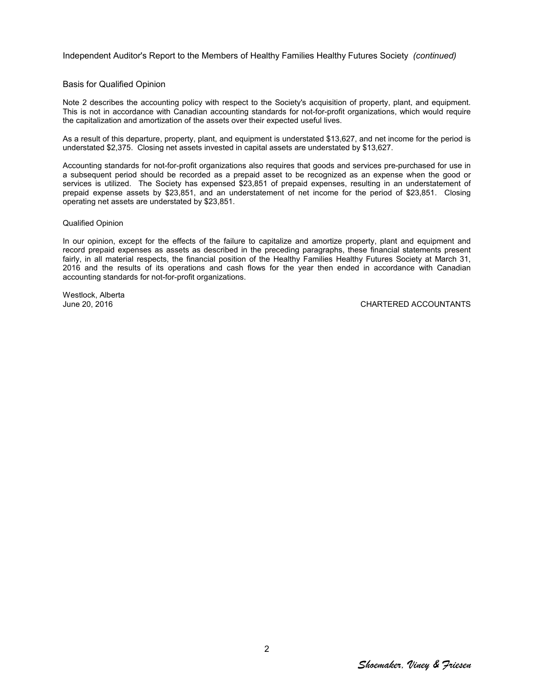Independent Auditor's Report to the Members of Healthy Families Healthy Futures Society *(continued)*

#### Basis for Qualified Opinion

Note 2 describes the accounting policy with respect to the Society's acquisition of property, plant, and equipment. This is not in accordance with Canadian accounting standards for not-for-profit organizations, which would require the capitalization and amortization of the assets over their expected useful lives.

As a result of this departure, property, plant, and equipment is understated \$13,627, and net income for the period is understated \$2,375. Closing net assets invested in capital assets are understated by \$13,627.

Accounting standards for not-for-profit organizations also requires that goods and services pre-purchased for use in a subsequent period should be recorded as a prepaid asset to be recognized as an expense when the good or services is utilized. The Society has expensed \$23,851 of prepaid expenses, resulting in an understatement of prepaid expense assets by \$23,851, and an understatement of net income for the period of \$23,851. Closing operating net assets are understated by \$23,851.

#### Qualified Opinion

In our opinion, except for the effects of the failure to capitalize and amortize property, plant and equipment and record prepaid expenses as assets as described in the preceding paragraphs, these financial statements present fairly, in all material respects, the financial position of the Healthy Families Healthy Futures Society at March 31, 2016 and the results of its operations and cash flows for the year then ended in accordance with Canadian accounting standards for not-for-profit organizations.

Westlock, Alberta<br>June 20, 2016

CHARTERED ACCOUNTANTS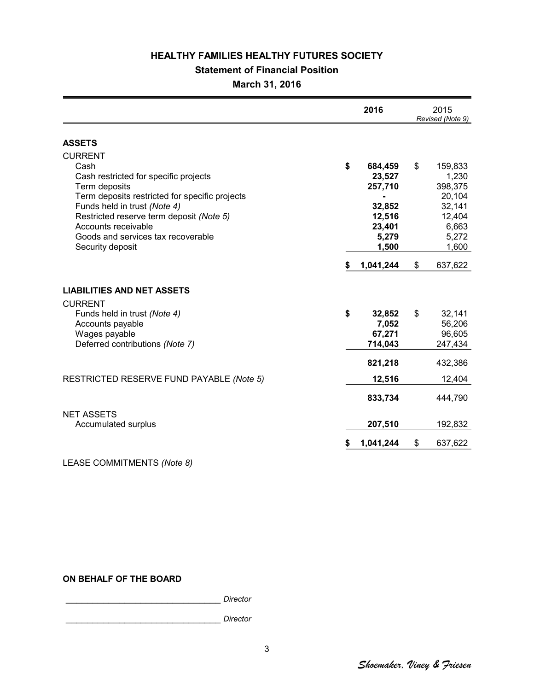## **Statement of Financial Position**

**March 31, 2016**

|                                                                                                                                                                                                                                                                                                 | 2016 |                                                                              | 2015<br>Revised (Note 9) |                                                                                      |
|-------------------------------------------------------------------------------------------------------------------------------------------------------------------------------------------------------------------------------------------------------------------------------------------------|------|------------------------------------------------------------------------------|--------------------------|--------------------------------------------------------------------------------------|
| <b>ASSETS</b>                                                                                                                                                                                                                                                                                   |      |                                                                              |                          |                                                                                      |
| <b>CURRENT</b><br>Cash<br>Cash restricted for specific projects<br>Term deposits<br>Term deposits restricted for specific projects<br>Funds held in trust (Note 4)<br>Restricted reserve term deposit (Note 5)<br>Accounts receivable<br>Goods and services tax recoverable<br>Security deposit | \$   | 684,459<br>23,527<br>257,710<br>32,852<br>12,516<br>23,401<br>5,279<br>1,500 | \$                       | 159,833<br>1,230<br>398,375<br>20,104<br>32,141<br>12,404<br>6,663<br>5,272<br>1,600 |
|                                                                                                                                                                                                                                                                                                 | S.   | 1,041,244                                                                    | \$                       | 637,622                                                                              |
| <b>LIABILITIES AND NET ASSETS</b><br><b>CURRENT</b><br>Funds held in trust (Note 4)<br>Accounts payable<br>Wages payable<br>Deferred contributions (Note 7)                                                                                                                                     | \$   | 32,852<br>7,052<br>67,271<br>714,043                                         | \$                       | 32,141<br>56,206<br>96,605<br>247,434                                                |
| RESTRICTED RESERVE FUND PAYABLE (Note 5)                                                                                                                                                                                                                                                        |      | 821,218<br>12,516<br>833,734                                                 |                          | 432,386<br>12,404<br>444,790                                                         |
| <b>NET ASSETS</b><br>Accumulated surplus                                                                                                                                                                                                                                                        |      | 207,510<br>1,041,244                                                         | \$                       | 192,832<br>637,622                                                                   |

LEASE COMMITMENTS *(Note 8)*

## **ON BEHALF OF THE BOARD**

\_\_\_\_\_\_\_\_\_\_\_\_\_\_\_\_\_\_\_\_\_\_\_\_\_\_\_\_\_ *Director*

\_\_\_\_\_\_\_\_\_\_\_\_\_\_\_\_\_\_\_\_\_\_\_\_\_\_\_\_\_ *Director*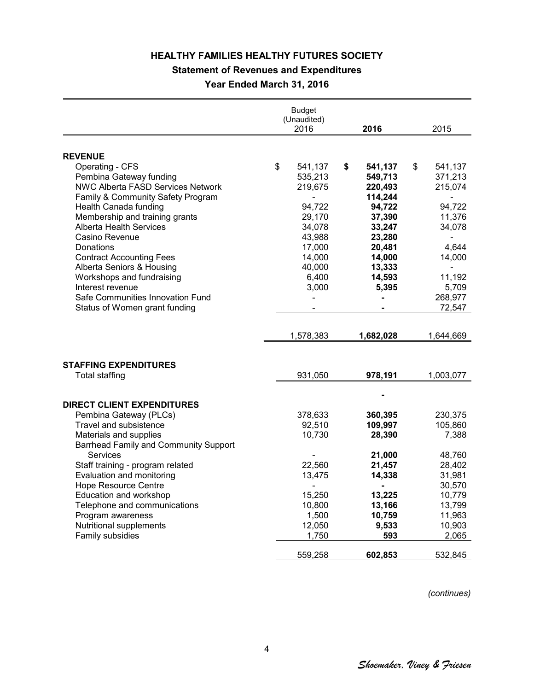## **Statement of Revenues and Expenditures**

**Year Ended March 31, 2016**

|                                          | <b>Budget</b><br>(Unaudited)<br>2016<br>2016 |    |           |    |           |  |  |  | 2015 |
|------------------------------------------|----------------------------------------------|----|-----------|----|-----------|--|--|--|------|
|                                          |                                              |    |           |    |           |  |  |  |      |
| <b>REVENUE</b>                           |                                              |    |           |    |           |  |  |  |      |
| Operating - CFS                          | \$<br>541,137                                | \$ | 541,137   | \$ | 541,137   |  |  |  |      |
| Pembina Gateway funding                  | 535,213                                      |    | 549,713   |    | 371,213   |  |  |  |      |
| <b>NWC Alberta FASD Services Network</b> | 219,675                                      |    | 220,493   |    | 215,074   |  |  |  |      |
| Family & Community Safety Program        |                                              |    | 114,244   |    |           |  |  |  |      |
| Health Canada funding                    | 94,722                                       |    | 94,722    |    | 94,722    |  |  |  |      |
| Membership and training grants           | 29,170                                       |    | 37,390    |    | 11,376    |  |  |  |      |
| <b>Alberta Health Services</b>           | 34,078                                       |    | 33,247    |    | 34,078    |  |  |  |      |
| Casino Revenue                           | 43,988                                       |    | 23,280    |    |           |  |  |  |      |
| Donations                                | 17,000                                       |    | 20,481    |    | 4,644     |  |  |  |      |
| <b>Contract Accounting Fees</b>          | 14,000                                       |    | 14,000    |    | 14,000    |  |  |  |      |
| Alberta Seniors & Housing                | 40,000                                       |    | 13,333    |    |           |  |  |  |      |
| Workshops and fundraising                | 6,400                                        |    | 14,593    |    | 11,192    |  |  |  |      |
| Interest revenue                         | 3,000                                        |    | 5,395     |    | 5,709     |  |  |  |      |
| Safe Communities Innovation Fund         |                                              |    |           |    | 268,977   |  |  |  |      |
| Status of Women grant funding            |                                              |    |           |    | 72,547    |  |  |  |      |
|                                          |                                              |    |           |    |           |  |  |  |      |
|                                          | 1,578,383                                    |    | 1,682,028 |    | 1,644,669 |  |  |  |      |
| <b>STAFFING EXPENDITURES</b>             |                                              |    |           |    |           |  |  |  |      |
| <b>Total staffing</b>                    | 931,050                                      |    | 978,191   |    | 1,003,077 |  |  |  |      |
|                                          |                                              |    |           |    |           |  |  |  |      |
| <b>DIRECT CLIENT EXPENDITURES</b>        |                                              |    |           |    |           |  |  |  |      |
| Pembina Gateway (PLCs)                   | 378,633                                      |    | 360,395   |    | 230,375   |  |  |  |      |
| Travel and subsistence                   | 92,510                                       |    | 109,997   |    | 105,860   |  |  |  |      |
| Materials and supplies                   | 10,730                                       |    | 28,390    |    | 7,388     |  |  |  |      |
| Barrhead Family and Community Support    |                                              |    |           |    |           |  |  |  |      |
| Services                                 |                                              |    | 21,000    |    | 48,760    |  |  |  |      |
| Staff training - program related         | 22,560                                       |    | 21,457    |    | 28,402    |  |  |  |      |
| Evaluation and monitoring                | 13,475                                       |    | 14,338    |    | 31,981    |  |  |  |      |
| <b>Hope Resource Centre</b>              |                                              |    |           |    | 30,570    |  |  |  |      |
| Education and workshop                   | 15,250                                       |    | 13,225    |    | 10,779    |  |  |  |      |
| Telephone and communications             | 10,800                                       |    | 13,166    |    | 13,799    |  |  |  |      |
| Program awareness                        | 1,500                                        |    | 10,759    |    | 11,963    |  |  |  |      |
| Nutritional supplements                  | 12,050                                       |    | 9,533     |    | 10,903    |  |  |  |      |
| Family subsidies                         | 1,750                                        |    | 593       |    | 2,065     |  |  |  |      |
|                                          | 559,258                                      |    | 602,853   |    | 532,845   |  |  |  |      |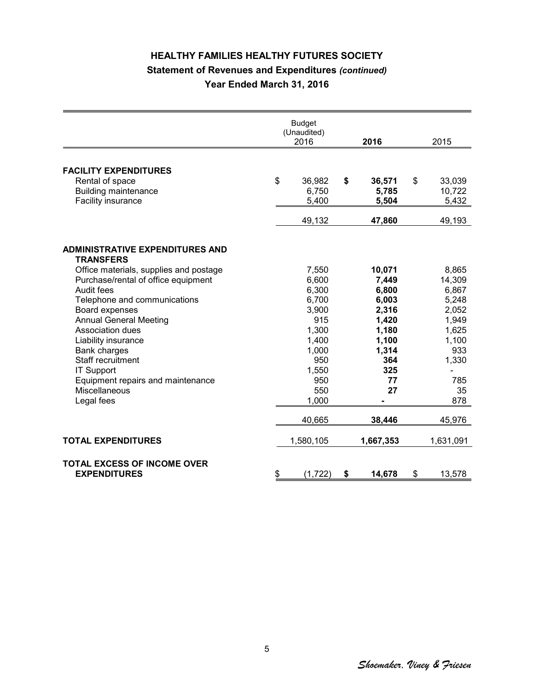## **HEALTHY FAMILIES HEALTHY FUTURES SOCIETY Statement of Revenues and Expenditures** *(continued)* **Year Ended March 31, 2016**

|                                                                                                                                                                                                                                                                                                         | <b>Budget</b><br>(Unaudited)<br>2016                                        | 2016                                                                           | 2015                                                                         |
|---------------------------------------------------------------------------------------------------------------------------------------------------------------------------------------------------------------------------------------------------------------------------------------------------------|-----------------------------------------------------------------------------|--------------------------------------------------------------------------------|------------------------------------------------------------------------------|
| <b>FACILITY EXPENDITURES</b><br>Rental of space<br><b>Building maintenance</b><br>Facility insurance                                                                                                                                                                                                    | \$<br>36,982<br>6,750<br>5,400                                              | \$<br>36,571<br>5,785<br>5,504                                                 | \$<br>33,039<br>10,722<br>5,432                                              |
|                                                                                                                                                                                                                                                                                                         | 49,132                                                                      | 47,860                                                                         | 49,193                                                                       |
| <b>ADMINISTRATIVE EXPENDITURES AND</b><br><b>TRANSFERS</b><br>Office materials, supplies and postage<br>Purchase/rental of office equipment<br>Audit fees<br>Telephone and communications<br>Board expenses<br><b>Annual General Meeting</b><br>Association dues<br>Liability insurance<br>Bank charges | 7,550<br>6,600<br>6,300<br>6,700<br>3,900<br>915<br>1,300<br>1,400<br>1,000 | 10,071<br>7,449<br>6,800<br>6,003<br>2,316<br>1,420<br>1,180<br>1,100<br>1,314 | 8,865<br>14,309<br>6,867<br>5,248<br>2,052<br>1,949<br>1,625<br>1,100<br>933 |
| Staff recruitment<br><b>IT Support</b><br>Equipment repairs and maintenance<br><b>Miscellaneous</b><br>Legal fees                                                                                                                                                                                       | 950<br>1,550<br>950<br>550<br>1,000                                         | 364<br>325<br>77<br>27                                                         | 1,330<br>785<br>35<br>878                                                    |
|                                                                                                                                                                                                                                                                                                         |                                                                             |                                                                                |                                                                              |
| <b>TOTAL EXPENDITURES</b>                                                                                                                                                                                                                                                                               | 40,665<br>1,580,105                                                         | 38,446<br>1,667,353                                                            | 45,976<br>1,631,091                                                          |
| <b>TOTAL EXCESS OF INCOME OVER</b><br><b>EXPENDITURES</b>                                                                                                                                                                                                                                               | \$<br>(1,722)                                                               | \$<br>14,678                                                                   | \$<br>13,578                                                                 |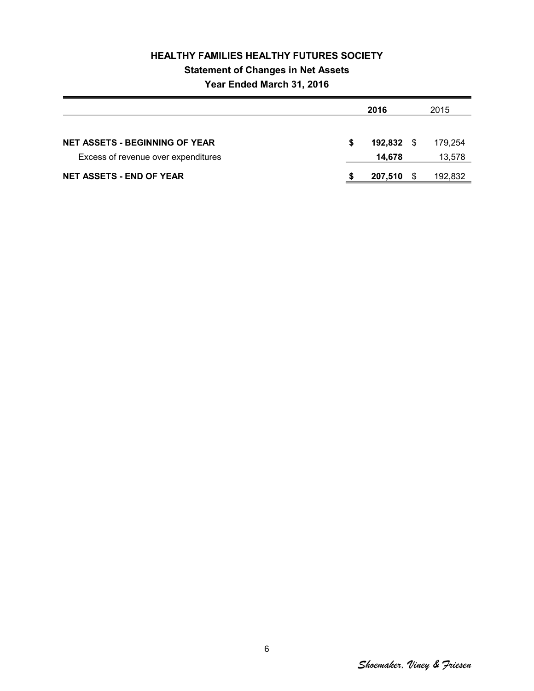## **HEALTHY FAMILIES HEALTHY FUTURES SOCIETY Statement of Changes in Net Assets Year Ended March 31, 2016**

|                                       |   | 2016       | 2015 |         |
|---------------------------------------|---|------------|------|---------|
|                                       |   |            |      |         |
| <b>NET ASSETS - BEGINNING OF YEAR</b> | S | 192,832 \$ |      | 179.254 |
| Excess of revenue over expenditures   |   | 14.678     |      | 13,578  |
| <b>NET ASSETS - END OF YEAR</b>       |   | 207,510    | - \$ | 192,832 |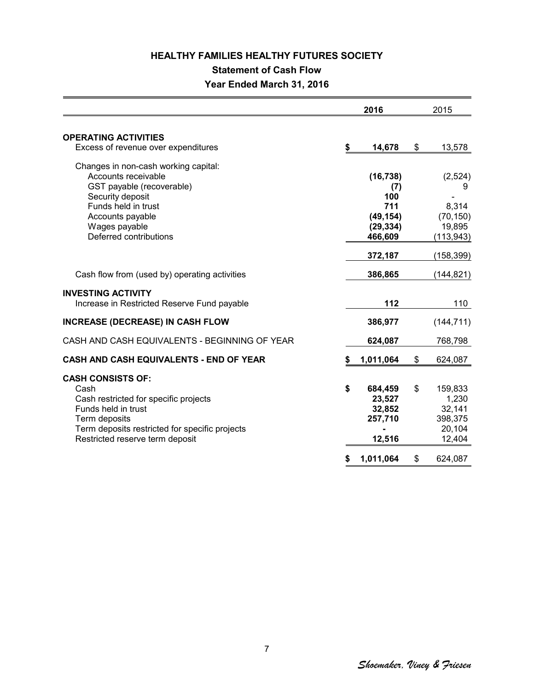## **HEALTHY FAMILIES HEALTHY FUTURES SOCIETY Statement of Cash Flow**

## **Year Ended March 31, 2016**

|                                                                                                                                                                                                        | 2016     |                                                                     | 2015     |                                                                      |
|--------------------------------------------------------------------------------------------------------------------------------------------------------------------------------------------------------|----------|---------------------------------------------------------------------|----------|----------------------------------------------------------------------|
| <b>OPERATING ACTIVITIES</b><br>Excess of revenue over expenditures                                                                                                                                     | \$       | 14,678                                                              | \$       | 13,578                                                               |
| Changes in non-cash working capital:<br>Accounts receivable<br>GST payable (recoverable)<br>Security deposit<br>Funds held in trust<br>Accounts payable<br>Wages payable<br>Deferred contributions     |          | (16, 738)<br>(7)<br>100<br>711<br>(49, 154)<br>(29, 334)<br>466,609 |          | (2,524)<br>9<br>8,314<br>(70, 150)<br>19,895<br>(113, 943)           |
| Cash flow from (used by) operating activities                                                                                                                                                          |          | 372,187<br>386,865                                                  |          | (158, 399)<br>(144, 821)                                             |
| <b>INVESTING ACTIVITY</b><br>Increase in Restricted Reserve Fund payable                                                                                                                               |          | 112                                                                 |          | 110                                                                  |
| <b>INCREASE (DECREASE) IN CASH FLOW</b>                                                                                                                                                                |          | 386,977                                                             |          | (144, 711)                                                           |
| CASH AND CASH EQUIVALENTS - BEGINNING OF YEAR                                                                                                                                                          |          | 624,087                                                             |          | 768,798                                                              |
| CASH AND CASH EQUIVALENTS - END OF YEAR                                                                                                                                                                |          | 1,011,064                                                           | \$       | 624,087                                                              |
| <b>CASH CONSISTS OF:</b><br>Cash<br>Cash restricted for specific projects<br>Funds held in trust<br>Term deposits<br>Term deposits restricted for specific projects<br>Restricted reserve term deposit | \$<br>\$ | 684,459<br>23,527<br>32,852<br>257,710<br>12,516<br>1,011,064       | \$<br>\$ | 159,833<br>1,230<br>32,141<br>398,375<br>20,104<br>12,404<br>624,087 |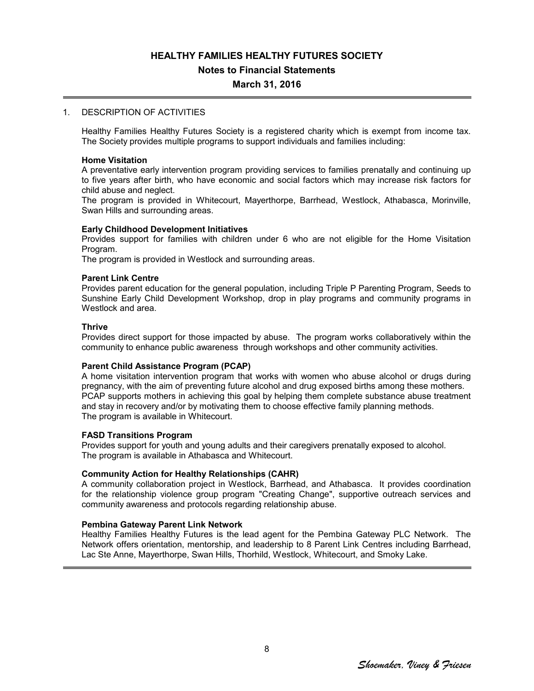**Notes to Financial Statements**

## **March 31, 2016**

### 1. DESCRIPTION OF ACTIVITIES

Healthy Families Healthy Futures Society is a registered charity which is exempt from income tax. The Society provides multiple programs to support individuals and families including:

#### **Home Visitation**

A preventative early intervention program providing services to families prenatally and continuing up to five years after birth, who have economic and social factors which may increase risk factors for child abuse and neglect.

The program is provided in Whitecourt, Mayerthorpe, Barrhead, Westlock, Athabasca, Morinville, Swan Hills and surrounding areas.

#### **Early Childhood Development Initiatives**

Provides support for families with children under 6 who are not eligible for the Home Visitation Program.

The program is provided in Westlock and surrounding areas.

#### **Parent Link Centre**

Provides parent education for the general population, including Triple P Parenting Program, Seeds to Sunshine Early Child Development Workshop, drop in play programs and community programs in Westlock and area.

#### **Thrive**

Provides direct support for those impacted by abuse. The program works collaboratively within the community to enhance public awareness through workshops and other community activities.

### **Parent Child Assistance Program (PCAP)**

A home visitation intervention program that works with women who abuse alcohol or drugs during pregnancy, with the aim of preventing future alcohol and drug exposed births among these mothers. PCAP supports mothers in achieving this goal by helping them complete substance abuse treatment and stay in recovery and/or by motivating them to choose effective family planning methods. The program is available in Whitecourt.

### **FASD Transitions Program**

Provides support for youth and young adults and their caregivers prenatally exposed to alcohol. The program is available in Athabasca and Whitecourt.

### **Community Action for Healthy Relationships (CAHR)**

A community collaboration project in Westlock, Barrhead, and Athabasca. It provides coordination for the relationship violence group program "Creating Change", supportive outreach services and community awareness and protocols regarding relationship abuse.

### **Pembina Gateway Parent Link Network**

Healthy Families Healthy Futures is the lead agent for the Pembina Gateway PLC Network. The Network offers orientation, mentorship, and leadership to 8 Parent Link Centres including Barrhead, Lac Ste Anne, Mayerthorpe, Swan Hills, Thorhild, Westlock, Whitecourt, and Smoky Lake.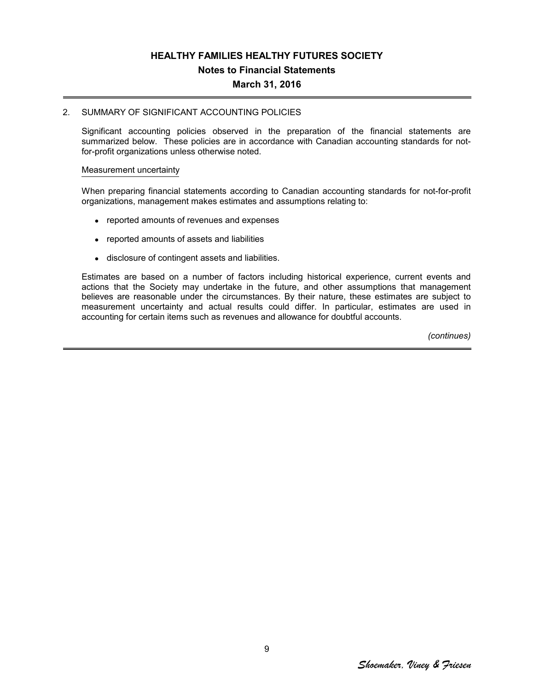### 2. SUMMARY OF SIGNIFICANT ACCOUNTING POLICIES

Significant accounting policies observed in the preparation of the financial statements are summarized below. These policies are in accordance with Canadian accounting standards for notfor-profit organizations unless otherwise noted.

#### Measurement uncertainty

When preparing financial statements according to Canadian accounting standards for not-for-profit organizations, management makes estimates and assumptions relating to:

- reported amounts of revenues and expenses
- reported amounts of assets and liabilities
- disclosure of contingent assets and liabilities.

Estimates are based on a number of factors including historical experience, current events and actions that the Society may undertake in the future, and other assumptions that management believes are reasonable under the circumstances. By their nature, these estimates are subject to measurement uncertainty and actual results could differ. In particular, estimates are used in accounting for certain items such as revenues and allowance for doubtful accounts.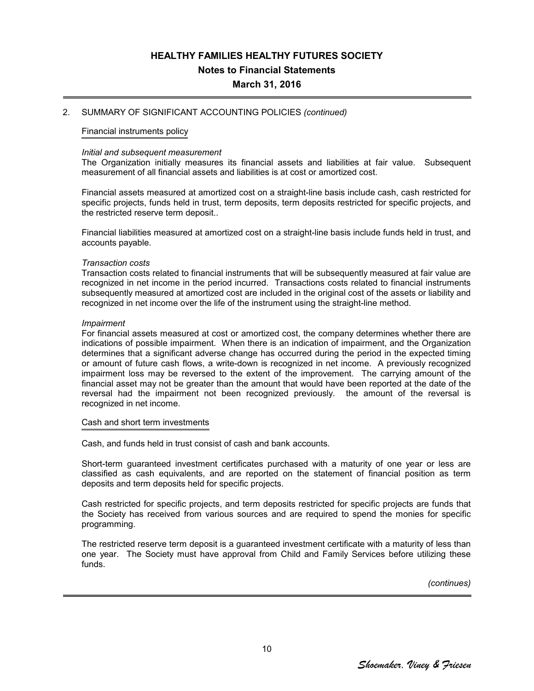## 2. SUMMARY OF SIGNIFICANT ACCOUNTING POLICIES *(continued)*

### Financial instruments policy

### *Initial and subsequent measurement*

The Organization initially measures its financial assets and liabilities at fair value. Subsequent measurement of all financial assets and liabilities is at cost or amortized cost.

Financial assets measured at amortized cost on a straight-line basis include cash, cash restricted for specific projects, funds held in trust, term deposits, term deposits restricted for specific projects, and the restricted reserve term deposit..

Financial liabilities measured at amortized cost on a straight-line basis include funds held in trust, and accounts payable.

### *Transaction costs*

Transaction costs related to financial instruments that will be subsequently measured at fair value are recognized in net income in the period incurred. Transactions costs related to financial instruments subsequently measured at amortized cost are included in the original cost of the assets or liability and recognized in net income over the life of the instrument using the straight-line method.

#### *Impairment*

For financial assets measured at cost or amortized cost, the company determines whether there are indications of possible impairment. When there is an indication of impairment, and the Organization determines that a significant adverse change has occurred during the period in the expected timing or amount of future cash flows, a write-down is recognized in net income. A previously recognized impairment loss may be reversed to the extent of the improvement. The carrying amount of the financial asset may not be greater than the amount that would have been reported at the date of the reversal had the impairment not been recognized previously. the amount of the reversal is recognized in net income.

### Cash and short term investments

Cash, and funds held in trust consist of cash and bank accounts.

Short-term guaranteed investment certificates purchased with a maturity of one year or less are classified as cash equivalents, and are reported on the statement of financial position as term deposits and term deposits held for specific projects.

Cash restricted for specific projects, and term deposits restricted for specific projects are funds that the Society has received from various sources and are required to spend the monies for specific programming.

The restricted reserve term deposit is a guaranteed investment certificate with a maturity of less than one year. The Society must have approval from Child and Family Services before utilizing these funds.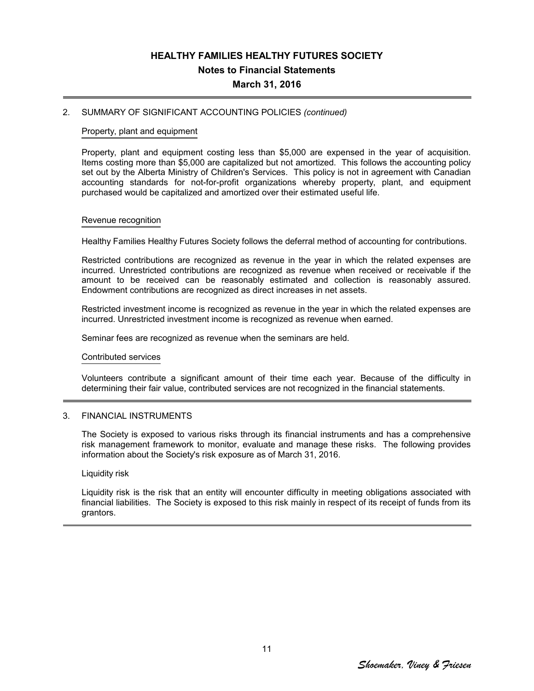### 2. SUMMARY OF SIGNIFICANT ACCOUNTING POLICIES *(continued)*

#### Property, plant and equipment

Property, plant and equipment costing less than \$5,000 are expensed in the year of acquisition. Items costing more than \$5,000 are capitalized but not amortized. This follows the accounting policy set out by the Alberta Ministry of Children's Services. This policy is not in agreement with Canadian accounting standards for not-for-profit organizations whereby property, plant, and equipment purchased would be capitalized and amortized over their estimated useful life.

#### Revenue recognition

Healthy Families Healthy Futures Society follows the deferral method of accounting for contributions.

Restricted contributions are recognized as revenue in the year in which the related expenses are incurred. Unrestricted contributions are recognized as revenue when received or receivable if the amount to be received can be reasonably estimated and collection is reasonably assured. Endowment contributions are recognized as direct increases in net assets.

Restricted investment income is recognized as revenue in the year in which the related expenses are incurred. Unrestricted investment income is recognized as revenue when earned.

Seminar fees are recognized as revenue when the seminars are held.

Contributed services

Volunteers contribute a significant amount of their time each year. Because of the difficulty in determining their fair value, contributed services are not recognized in the financial statements.

### 3. FINANCIAL INSTRUMENTS

The Society is exposed to various risks through its financial instruments and has a comprehensive risk management framework to monitor, evaluate and manage these risks. The following provides information about the Society's risk exposure as of March 31, 2016.

#### Liquidity risk

Liquidity risk is the risk that an entity will encounter difficulty in meeting obligations associated with financial liabilities. The Society is exposed to this risk mainly in respect of its receipt of funds from its grantors.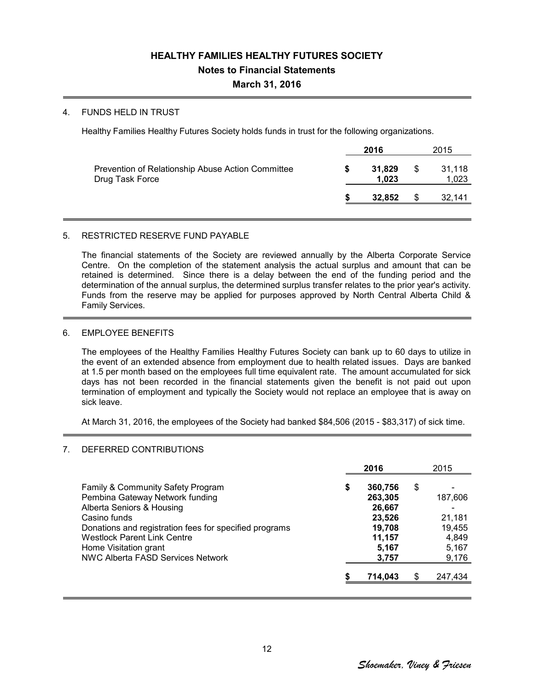## **Notes to Financial Statements**

## **March 31, 2016**

### 4. FUNDS HELD IN TRUST

Healthy Families Healthy Futures Society holds funds in trust for the following organizations.

|                                                                      |   | 2016            | 2015 |                 |  |
|----------------------------------------------------------------------|---|-----------------|------|-----------------|--|
| Prevention of Relationship Abuse Action Committee<br>Drug Task Force | S | 31.829<br>1.023 | \$   | 31.118<br>1,023 |  |
|                                                                      |   | 32,852          |      | 32,141          |  |

### 5. RESTRICTED RESERVE FUND PAYABLE

The financial statements of the Society are reviewed annually by the Alberta Corporate Service Centre. On the completion of the statement analysis the actual surplus and amount that can be retained is determined. Since there is a delay between the end of the funding period and the determination of the annual surplus, the determined surplus transfer relates to the prior year's activity. Funds from the reserve may be applied for purposes approved by North Central Alberta Child & Family Services.

### 6. EMPLOYEE BENEFITS

The employees of the Healthy Families Healthy Futures Society can bank up to 60 days to utilize in the event of an extended absence from employment due to health related issues. Days are banked at 1.5 per month based on the employees full time equivalent rate. The amount accumulated for sick days has not been recorded in the financial statements given the benefit is not paid out upon termination of employment and typically the Society would not replace an employee that is away on sick leave.

At March 31, 2016, the employees of the Society had banked \$84,506 (2015 - \$83,317) of sick time.

## 7. DEFERRED CONTRIBUTIONS

|                                                                                                                                                                                                                                                                                        | 2016                                                                               |    | 2015                                                   |
|----------------------------------------------------------------------------------------------------------------------------------------------------------------------------------------------------------------------------------------------------------------------------------------|------------------------------------------------------------------------------------|----|--------------------------------------------------------|
| Family & Community Safety Program<br>Pembina Gateway Network funding<br>Alberta Seniors & Housing<br>Casino funds<br>Donations and registration fees for specified programs<br><b>Westlock Parent Link Centre</b><br>Home Visitation grant<br><b>NWC Alberta FASD Services Network</b> | \$<br>360,756<br>263,305<br>26,667<br>23,526<br>19,708<br>11,157<br>5,167<br>3,757 | \$ | 187,606<br>21,181<br>19,455<br>4,849<br>5.167<br>9,176 |
|                                                                                                                                                                                                                                                                                        | 714,043                                                                            | S  | 247,434                                                |
|                                                                                                                                                                                                                                                                                        |                                                                                    |    |                                                        |